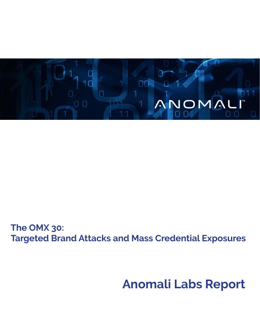

**The OMX 30: Targeted Brand Attacks and Mass Credential Exposures**

# **Anomali Labs Report**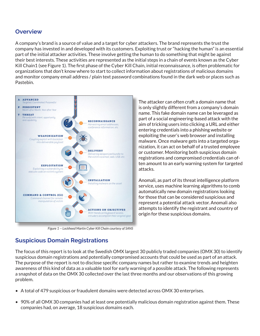#### **Overview**

A company's brand is a source of value and a target for cyber attackers. The brand represents the trust the company has invested in and developed with its customers. Exploiting trust or "hacking the human" is an essential part of the initial attacker activities. These involve getting the human to do something that might be against their best interests. These activities are represented as the initial steps in a chain of events known as the Cyber Kill Chain1 (see Figure 1). The first phase of the Cyber Kill Chain, initial reconnaissance, is often problematic for organizations that don't know where to start to collect information about registrations of malicious domains and monitor company email address / plain text password combinations found in the dark web or places such as Pastebin.



*Figure 1 -- Lockheed Martin Cyber Kill Chain courtesy of SANS*

The attacker can often craft a domain name that is only slightly different from a company's domain name. This fake domain name can be leveraged as part of a social engineering-based attack with the aim of tricking users into clicking a URL and either entering credentials into a phishing website or exploiting the user's web browser and installing malware. Once malware gets into a targeted organization, it can act on behalf of a trusted employee or customer. Monitoring both suspicious domain registrations and compromised credentials can often amount to an early warning system for targeted attacks.

Anomali, as part of its threat intelligence platform service, uses machine learning algorithms to comb automatically new domain registrations looking for those that can be considered suspicious and represent a potential attack vector. Anomali also attempts to identify the registrant and country of origin for these suspicious domains.

## **Suspicious Domain Registrations**

The focus of this report is to look at the Swedish OMX largest 30 publicly traded companies (OMX 30) to identify suspicious domain registrations and potentially compromised accounts that could be used as part of an attack. The purpose of the report is not to disclose specific company names but rather to examine trends and heighten awareness of this kind of data as a valuable tool for early warning of a possible attack. The following represents a snapshot of data on the OMX 30 collected over the last three months and our observations of this growing problem.

- A total of 479 suspicious or fraudulent domains were detected across OMX 30 enterprises.
- 90% of all OMX 30 companies had at least one potentially malicious domain registration against them. These companies had, on average, 18 suspicious domains each.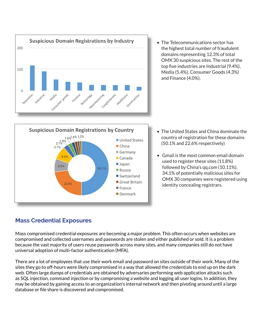

• The Telecommunications sector has the highest total number of fraudulent domains representing 12.3% of total OMX 30 suspicious sites. The rest of the top five industries are Industrial (9.4%), Media (5.4%), Consumer Goods (4.3%) and Finance (4.0%).



- The United States and China dominate the country of registration for these domains (50.1% and 22.6% respectively)
- Gmail is the most common email domain used to register these sites (11.8%) followed by China's qq.com (10.11%). 34.1% of potentially malicious sites for OMX 30 companies were registered using identity concealing registrars.

### **Mass Credential Exposures**

Mass compromised credential exposures are becoming a major problem. This often occurs when websites are compromised and collected usernames and passwords are stolen and either published or sold. It is a problem because the vast majority of users reuse passwords across many sites, and many companies still do not have universal adoption of multi-factor authentication (MFA).

There are a lot of employees that use their work email and password on sites outside of their work. Many of the sites they go to off-hours were likely compromised in a way that allowed the credentials to end up on the dark web. Often large dumps of credentials are obtained by adversaries performing web application attacks such as SQL injection, command injection or by compromising a website and logging all user logins. In addition, they may be obtained by gaining access to an organization's internal network and then pivoting around until a large database or file share is discovered and compromised.